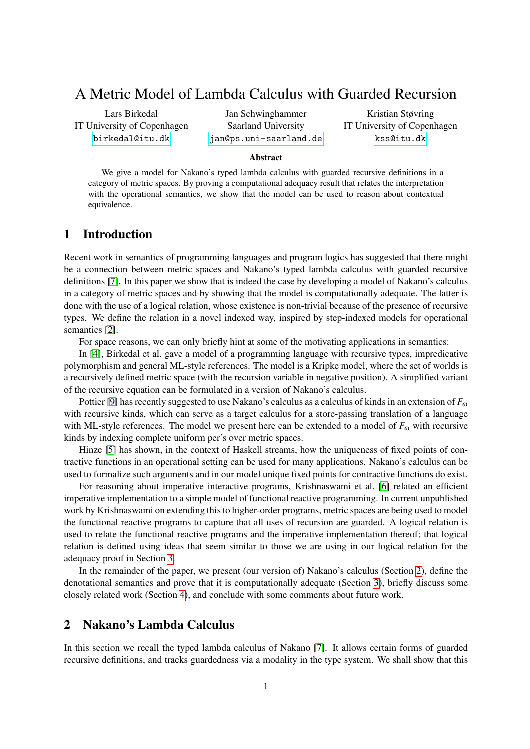# <span id="page-0-1"></span>A Metric Model of Lambda Calculus with Guarded Recursion

Lars Birkedal IT University of Copenhagen <birkedal@itu.dk>

Jan Schwinghammer Saarland University <jan@ps.uni-saarland.de>

Kristian Støvring IT University of Copenhagen <kss@itu.dk>

#### Abstract

We give a model for Nakano's typed lambda calculus with guarded recursive definitions in a category of metric spaces. By proving a computational adequacy result that relates the interpretation with the operational semantics, we show that the model can be used to reason about contextual equivalence.

# 1 Introduction

Recent work in semantics of programming languages and program logics has suggested that there might be a connection between metric spaces and Nakano's typed lambda calculus with guarded recursive definitions [\[7\]](#page-5-0). In this paper we show that is indeed the case by developing a model of Nakano's calculus in a category of metric spaces and by showing that the model is computationally adequate. The latter is done with the use of a logical relation, whose existence is non-trivial because of the presence of recursive types. We define the relation in a novel indexed way, inspired by step-indexed models for operational semantics [\[2\]](#page-5-1).

For space reasons, we can only briefly hint at some of the motivating applications in semantics:

In [\[4\]](#page-5-2), Birkedal et al. gave a model of a programming language with recursive types, impredicative polymorphism and general ML-style references. The model is a Kripke model, where the set of worlds is a recursively defined metric space (with the recursion variable in negative position). A simplified variant of the recursive equation can be formulated in a version of Nakano's calculus.

Pottier [\[9\]](#page-5-3) has recently suggested to use Nakano's calculus as a calculus of kinds in an extension of *F*<sup>ω</sup> with recursive kinds, which can serve as a target calculus for a store-passing translation of a language with ML-style references. The model we present here can be extended to a model of  $F_{\omega}$  with recursive kinds by indexing complete uniform per's over metric spaces.

Hinze [\[5\]](#page-5-4) has shown, in the context of Haskell streams, how the uniqueness of fixed points of contractive functions in an operational setting can be used for many applications. Nakano's calculus can be used to formalize such arguments and in our model unique fixed points for contractive functions do exist.

For reasoning about imperative interactive programs, Krishnaswami et al. [\[6\]](#page-5-5) related an efficient imperative implementation to a simple model of functional reactive programming. In current unpublished work by Krishnaswami on extending this to higher-order programs, metric spaces are being used to model the functional reactive programs to capture that all uses of recursion are guarded. A logical relation is used to relate the functional reactive programs and the imperative implementation thereof; that logical relation is defined using ideas that seem similar to those we are using in our logical relation for the adequacy proof in Section [3.](#page-2-0)

In the remainder of the paper, we present (our version of) Nakano's calculus (Section [2\)](#page-0-0), define the denotational semantics and prove that it is computationally adequate (Section [3\)](#page-2-0), briefly discuss some closely related work (Section [4\)](#page-5-6), and conclude with some comments about future work.

# <span id="page-0-0"></span>2 Nakano's Lambda Calculus

In this section we recall the typed lambda calculus of Nakano [\[7\]](#page-5-0). It allows certain forms of guarded recursive definitions, and tracks guardedness via a modality in the type system. We shall show that this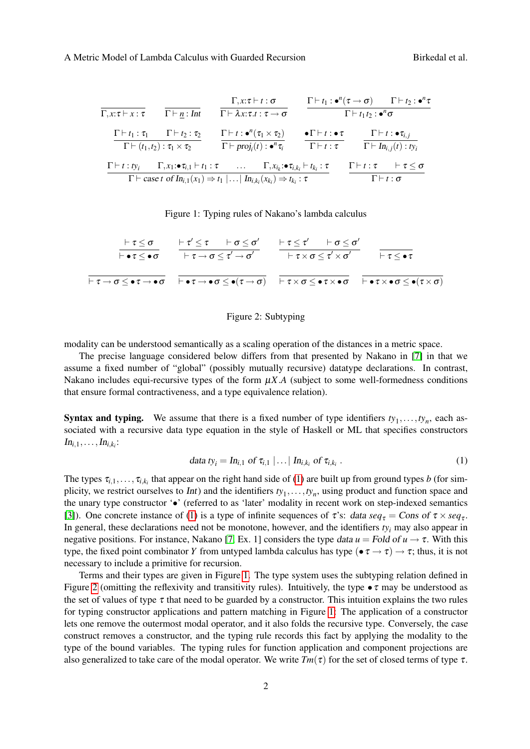| $\Gamma, x: \tau \vdash x: \tau$      | $\Gamma\vdash n: Int$                                                                                              | $\Gamma, x: \tau \vdash t : \sigma$<br>$\Gamma \vdash \lambda x{:}\tau.t : \tau \rightarrow \sigma$                                                                                                                                  | $\Gamma \vdash t_1 : \bullet^n(\tau \to \sigma) \qquad \Gamma \vdash t_2 : \bullet^n \tau$ | $\Gamma\vdash t_1t_2$ : $\bullet^n\sigma$ |                                                                             |
|---------------------------------------|--------------------------------------------------------------------------------------------------------------------|--------------------------------------------------------------------------------------------------------------------------------------------------------------------------------------------------------------------------------------|--------------------------------------------------------------------------------------------|-------------------------------------------|-----------------------------------------------------------------------------|
|                                       | $\Gamma \vdash t_1 : \tau_1 \qquad \Gamma \vdash t_2 : \tau_2$<br>$\Gamma \vdash (t_1,t_2) : \tau_1 \times \tau_2$ | $\Gamma\vdash t:\bullet^{n}(\tau_1\times\tau_2)$<br>$\Gamma \vdash proj_i(t) : \bullet^n \tau_i$                                                                                                                                     | $\bullet \Gamma \vdash t : \bullet \tau$<br>$\Gamma\vdash t:\tau$                          |                                           | $\Gamma \vdash t : \bullet \tau_{i,j}$<br>$\Gamma \vdash In_{i,j}(t): ty_i$ |
| $\Gamma \vdash t : t_{\mathcal{V}_i}$ |                                                                                                                    | $\Gamma, x_1: \bullet \tau_{i,1} \vdash t_1: \tau$ $\Gamma, x_{i_k}: \bullet \tau_{i,k_i} \vdash t_{k_i}: \tau$<br>$\Gamma\vdash$ case t of $In_{i,1}(x_1) \Rightarrow t_1   \dots   In_{i,k_i}(x_{k_i}) \Rightarrow t_{k_i} : \tau$ |                                                                                            | $\Gamma \vdash t : \sigma$                | $\Gamma \vdash t : \tau \quad \vdash \tau \leq \sigma$                      |

<span id="page-1-1"></span>Figure 1: Typing rules of Nakano's lambda calculus

| $\vdash \tau \leq \sigma$ $\vdash \tau' \leq \tau$ $\vdash \sigma \leq \sigma'$ $\vdash \tau \leq \tau'$ $\vdash \sigma \leq \sigma'$<br>$\vdash \bullet \tau \leq \bullet \sigma$ $\vdash \tau \rightarrow \sigma \leq \tau' \rightarrow \sigma'$ $\vdash \tau \times \sigma \leq \tau' \times \sigma'$ $\vdash \tau \leq \bullet \tau$ |  |
|------------------------------------------------------------------------------------------------------------------------------------------------------------------------------------------------------------------------------------------------------------------------------------------------------------------------------------------|--|
| $\vdash \tau \to \sigma \leq \bullet\tau \to \bullet\sigma$ $\vdash\bullet\tau \to \bullet\sigma \leq \bullet(\tau \to \sigma)$ $\vdash \tau \times \sigma \leq \bullet\tau \times \bullet\sigma$ $\vdash\bullet\tau \times \bullet\sigma \leq \bullet(\tau \times \sigma)$                                                              |  |

### <span id="page-1-2"></span><span id="page-1-0"></span>Figure 2: Subtyping

modality can be understood semantically as a scaling operation of the distances in a metric space.

The precise language considered below differs from that presented by Nakano in [\[7\]](#page-5-0) in that we assume a fixed number of "global" (possibly mutually recursive) datatype declarations. In contrast, Nakano includes equi-recursive types of the form  $\mu X.A$  (subject to some well-formedness conditions that ensure formal contractiveness, and a type equivalence relation).

**Syntax and typing.** We assume that there is a fixed number of type identifiers  $ty_1, \ldots, ty_n$ , each associated with a recursive data type equation in the style of Haskell or ML that specifies constructors  $In_{i,1},\ldots,In_{i,k_i}:$ 

$$
data \, t y_i = In_{i,1} \, \text{of} \, \tau_{i,1} \, | \, \dots | \, In_{i,k_i} \, \text{of} \, \tau_{i,k_i} \,. \tag{1}
$$

The types  $\tau_{i,1},\ldots,\tau_{i,k_i}$  that appear on the right hand side of [\(1\)](#page-1-0) are built up from ground types *b* (for simplicity, we restrict ourselves to *Int*) and the identifiers  $ty_1, \ldots, ty_n$ , using product and function space and the unary type constructor '•' (referred to as 'later' modality in recent work on step-indexed semantics [\[3\]](#page-5-7)). One concrete instance of [\(1\)](#page-1-0) is a type of infinite sequences of  $\tau$ 's: data  $seq_{\tau} = Cons$  of  $\tau \times seq_{\tau}$ . In general, these declarations need not be monotone, however, and the identifiers *ty<sup>i</sup>* may also appear in negative positions. For instance, Nakano [\[7,](#page-5-0) Ex. 1] considers the type data  $u =$  Fold of  $u \rightarrow \tau$ . With this type, the fixed point combinator *Y* from untyped lambda calculus has type ( $\bullet \tau \to \tau$ )  $\to \tau$ ; thus, it is not necessary to include a primitive for recursion.

Terms and their types are given in Figure [1.](#page-1-1) The type system uses the subtyping relation defined in Figure [2](#page-1-2) (omitting the reflexivity and transitivity rules). Intuitively, the type  $\bullet \tau$  may be understood as the set of values of type  $\tau$  that need to be guarded by a constructor. This intuition explains the two rules for typing constructor applications and pattern matching in Figure [1:](#page-1-1) The application of a constructor lets one remove the outermost modal operator, and it also folds the recursive type. Conversely, the case construct removes a constructor, and the typing rule records this fact by applying the modality to the type of the bound variables. The typing rules for function application and component projections are also generalized to take care of the modal operator. We write  $Tm(\tau)$  for the set of closed terms of type  $\tau$ .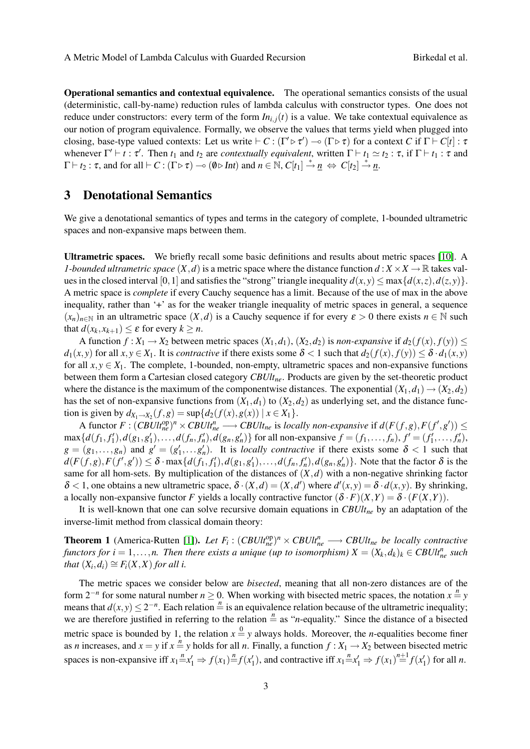Operational semantics and contextual equivalence. The operational semantics consists of the usual (deterministic, call-by-name) reduction rules of lambda calculus with constructor types. One does not reduce under constructors: every term of the form  $In_{i,j}(t)$  is a value. We take contextual equivalence as our notion of program equivalence. Formally, we observe the values that terms yield when plugged into closing, base-type valued contexts: Let us write  $\vdash C : (\Gamma' \triangleright \tau') \multimap (\Gamma \triangleright \tau)$  for a context *C* if  $\Gamma \vdash C[t] : \tau$ whenever  $\Gamma' \vdash t : \tau'$ . Then  $t_1$  and  $t_2$  are *contextually equivalent*, written  $\Gamma \vdash t_1 \simeq t_2 : \tau$ , if  $\Gamma \vdash t_1 : \tau$  and  $\Gamma \vdash t_2 : \tau$ , and for all  $\vdash C : (\Gamma \triangleright \tau) \multimap (\emptyset \triangleright Int)$  and  $n \in \mathbb{N}$ ,  $C[t_1] \stackrel{*}{\rightarrow} \underline{n} \Leftrightarrow C[t_2] \stackrel{*}{\rightarrow} \underline{n}$ .

### <span id="page-2-0"></span>3 Denotational Semantics

We give a denotational semantics of types and terms in the category of complete, 1-bounded ultrametric spaces and non-expansive maps between them.

Ultrametric spaces. We briefly recall some basic definitions and results about metric spaces [\[10\]](#page-5-8). A *1-bounded ultrametric space*  $(X, d)$  is a metric space where the distance function  $d : X \times X \to \mathbb{R}$  takes values in the closed interval [0, 1] and satisfies the "strong" triangle inequality  $d(x, y) \le \max\{d(x, z), d(z, y)\}.$ A metric space is *complete* if every Cauchy sequence has a limit. Because of the use of max in the above inequality, rather than '+' as for the weaker triangle inequality of metric spaces in general, a sequence  $(x_n)_{n \in \mathbb{N}}$  in an ultrametric space  $(X,d)$  is a Cauchy sequence if for every  $\varepsilon > 0$  there exists  $n \in \mathbb{N}$  such that  $d(x_k, x_{k+1}) \leq \varepsilon$  for every  $k \geq n$ .

A function  $f: X_1 \to X_2$  between metric spaces  $(X_1, d_1)$ ,  $(X_2, d_2)$  is *non-expansive* if  $d_2(f(x), f(y)) \le$ *d*<sub>1</sub>(*x*, *y*) for all *x*, *y*  $\in$  *X*<sub>1</sub>. It is *contractive* if there exists some  $\delta$  < 1 such that  $d_2(f(x), f(y)) \leq \delta \cdot d_1(x, y)$ for all  $x, y \in X_1$ . The complete, 1-bounded, non-empty, ultrametric spaces and non-expansive functions between them form a Cartesian closed category *CBUltne*. Products are given by the set-theoretic product where the distance is the maximum of the componentwise distances. The exponential  $(X_1, d_1) \rightarrow (X_2, d_2)$ has the set of non-expansive functions from  $(X_1, d_1)$  to  $(X_2, d_2)$  as underlying set, and the distance function is given by  $d_{X_1 \to X_2}(f, g) = \sup \{ d_2(f(x), g(x)) \mid x \in X_1 \}.$ 

A functor  $F: (CBUlt_{ne}^{op})^n \times CBUlt_{ne}^n \longrightarrow CBUlt_{ne}$  is *locally non-expansive* if  $d(F(f,g), F(f',g')) \le$  $\max\{d(f_1, f'_1), d(g_1, g'_1), \ldots, d(f_n, f'_n), d(g_n, g'_n)\}\$ for all non-expansive  $f = (f_1, \ldots, f_n), f' = (f'_1, \ldots, f'_n),$  $g = (g_1, \ldots, g_n)$  and  $g' = (g'_1, \ldots, g'_n)$ . It is *locally contractive* if there exists some  $\delta < 1$  such that  $d(F(f,g),F(f',g')) \leq \delta \cdot \max\{d(f_1,f_1'),d(g_1,g_1'),\ldots,d(f_n,f_n'),d(g_n,g_n')\}$ . Note that the factor  $\delta$  is the same for all hom-sets. By multiplication of the distances of  $(X,d)$  with a non-negative shrinking factor  $\delta$  < 1, one obtains a new ultrametric space,  $\delta$  ·  $(X, d) = (X, d')$  where  $d'(x, y) = \delta \cdot d(x, y)$ . By shrinking, a locally non-expansive functor *F* yields a locally contractive functor  $(\delta \cdot F)(X,Y) = \delta \cdot (F(X,Y))$ .

It is well-known that one can solve recursive domain equations in *CBUltne* by an adaptation of the inverse-limit method from classical domain theory:

<span id="page-2-1"></span>**Theorem 1** (America-Rutten [\[1\]](#page-5-9)). Let  $F_i: (CBUlt_{ne}^{op})^n \times CBUlt_{ne}^n \longrightarrow CBUlt_{ne}$  be locally contractive *functors for i* = 1,...,*n.* Then there exists a unique (up to isomorphism)  $X = (X_k, d_k)_k \in CBUlt_{ne}^n$  such *that*  $(X_i, d_i) \cong F_i(X, X)$  *for all i.* 

The metric spaces we consider below are *bisected*, meaning that all non-zero distances are of the form  $2^{-n}$  for some natural number  $n \ge 0$ . When working with bisected metric spaces, the notation  $x = y$ means that  $d(x, y) \le 2^{-n}$ . Each relation  $\frac{n}{n}$  is an equivalence relation because of the ultrametric inequality; we are therefore justified in referring to the relation  $\frac{n}{n}$  as "*n*-equality." Since the distance of a bisected metric space is bounded by 1, the relation  $x = y$  always holds. Moreover, the *n*-equalities become finer as *n* increases, and  $x = y$  if  $x = y$  holds for all *n*. Finally, a function  $f: X_1 \to X_2$  between bisected metric spaces is non-expansive iff  $x_1 \stackrel{n}{=} x_1' \Rightarrow f(x_1) \stackrel{n}{=} f(x_1')$ , and contractive iff  $x_1 \stackrel{n}{=} x_1' \Rightarrow f(x_1) \stackrel{n+1}{=} f(x_1')$  for all *n*.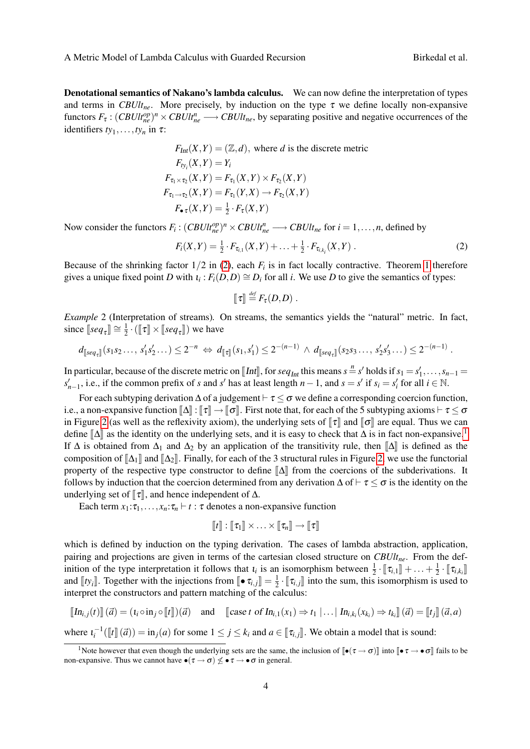Denotational semantics of Nakano's lambda calculus. We can now define the interpretation of types and terms in *CBUlt<sub>ne</sub>*. More precisely, by induction on the type  $\tau$  we define locally non-expansive functors  $F_{\tau}$ :  $(CBUlt_{ne}^{op})^n \times CBUlt_{ne}^n \longrightarrow CBUlt_{ne}$ , by separating positive and negative occurrences of the identifiers  $ty_1, \ldots, ty_n$  in  $\tau$ :

$$
F_{Int}(X, Y) = (\mathbb{Z}, d), \text{ where } d \text{ is the discrete metric}
$$
  
\n
$$
F_{ty_i}(X, Y) = Y_i
$$
  
\n
$$
F_{\tau_1 \times \tau_2}(X, Y) = F_{\tau_1}(X, Y) \times F_{\tau_2}(X, Y)
$$
  
\n
$$
F_{\tau_1 \to \tau_2}(X, Y) = F_{\tau_1}(Y, X) \to F_{\tau_2}(X, Y)
$$
  
\n
$$
F_{\bullet \tau}(X, Y) = \frac{1}{2} \cdot F_{\tau}(X, Y)
$$

Now consider the functors  $F_i: (CBUlt_{ne}^{op})^n \times CBUlt_{ne}^n \longrightarrow CBUlt_{ne}$  for  $i = 1, ..., n$ , defined by

$$
F_i(X,Y) = \frac{1}{2} \cdot F_{\tau_{i,1}}(X,Y) + \ldots + \frac{1}{2} \cdot F_{\tau_{i,k_i}}(X,Y) \ . \tag{2}
$$

Because of the shrinking factor  $1/2$  in [\(2\)](#page-3-0), each  $F_i$  is in fact locally contractive. Theorem [1](#page-2-1) therefore gives a unique fixed point *D* with  $i_i$ :  $F_i(D,D) \cong D_i$  for all *i*. We use *D* to give the semantics of types:

<span id="page-3-0"></span>
$$
\llbracket \tau \rrbracket \stackrel{\text{\it def}}{=} F_{\tau}(D,D) \ .
$$

<span id="page-3-2"></span>*Example* 2 (Interpretation of streams)*.* On streams, the semantics yields the "natural" metric. In fact, since  $[seq_\tau] \cong \frac{1}{2}$  $\frac{1}{2} \cdot (\llbracket \tau \rrbracket \times \llbracket seq_{\tau} \rrbracket)$  we have

$$
d_{\llbracket \mathit{seq}_{\tau} \rrbracket}(s_1 s_2 \ldots, s'_1 s'_2 \ldots) \leq 2^{-n} \Leftrightarrow d_{\llbracket \tau \rrbracket}(s_1, s'_1) \leq 2^{-(n-1)} \wedge d_{\llbracket \mathit{seq}_{\tau} \rrbracket}(s_2 s_3 \ldots, s'_2 s'_3 \ldots) \leq 2^{-(n-1)}.
$$

In particular, because of the discrete metric on [Int], for  $seq_{Int}$  this means  $s = s'$  holds if  $s_1 = s'_1, \ldots, s_{n-1} = s'$  i.e. if the common profix of  $s$  and  $s'$  hose theorith  $n-1$  and  $s = s'$  is  $s = s'$  for all  $i \in \mathbb{N}$  $s'_{n-1}$ , i.e., if the common prefix of *s* and *s*' has at least length *n* − 1, and *s* = *s*' if *s<sub>i</sub>* = *s*' for all *i* ∈ N.

For each subtyping derivation  $\Delta$  of a judgement  $\vdash \tau \leq \sigma$  we define a corresponding coercion function, i.e., a non-expansive function  $\llbracket \Delta \rrbracket : \llbracket \tau \rrbracket \to \llbracket \sigma \rrbracket$ . First note that, for each of the 5 subtyping axioms  $\vdash \tau \leq \sigma$ in Figure [2](#page-1-2) (as well as the reflexivity axiom), the underlying sets of  $\llbracket \tau \rrbracket$  and  $\llbracket \sigma \rrbracket$  are equal. Thus we can define  $\mathbb{A}$  as the identity on the underlying sets, and it is easy to check that  $\Delta$  is in fact non-expansive.<sup>[1](#page-0-1)</sup> If  $\Delta$  is obtained from  $\Delta_1$  and  $\Delta_2$  by an application of the transitivity rule, then  $\llbracket \Delta \rrbracket$  is defined as the composition of  $\mathbb{A}_1$  and  $\mathbb{A}_2$ . Finally, for each of the 3 structural rules in Figure [2,](#page-1-2) we use the functorial property of the respective type constructor to define  $\mathbb{A}$  from the coercions of the subderivations. It follows by induction that the coercion determined from any derivation  $\Delta$  of  $\vdash \tau \leq \sigma$  is the identity on the underlying set of  $\llbracket \tau \rrbracket$ , and hence independent of  $\Delta$ .

Each term  $x_1:\tau_1,\ldots,x_n:\tau_n \vdash t : \tau$  denotes a non-expansive function

$$
\llbracket t \rrbracket : \llbracket \tau_1 \rrbracket \times \ldots \times \llbracket \tau_n \rrbracket \to \llbracket \tau \rrbracket
$$

which is defined by induction on the typing derivation. The cases of lambda abstraction, application, pairing and projections are given in terms of the cartesian closed structure on *CBUltne*. From the definition of the type interpretation it follows that  $\iota_i$  is an isomorphism between  $\frac{1}{2} \cdot [\![\tau_{i,1}]\!] + \ldots + \frac{1}{2}$ <br>and  $[\![\tau_{i,1}]\!]$ . Together with the injections from  $[\![\tau_{i,1}]\!] = \top$ .  $[\![\tau_{i,1}]\!]$  into the sum this  $\frac{1}{2} \cdot [\![\tau_{i,k_i}]\!]$ and  $[[ty_i]]$ . Together with the injections from  $[\![\bullet \tau_{i,j}]\!] = \frac{1}{2} \cdot [\![\tau_{i,j}]\!]$  into the sum, this isomorphism is used to intermet the constructors and nattern matching of the coloulus:  $\frac{1}{2} \cdot [\![\tau_{i,j}]\!]$  into the sum, this isomorphism is used to interpret the constructors and pattern matching of the calculus:

$$
\llbracket \text{In}_{i,j}(t) \rrbracket(\vec{a}) = (i_i \circ \text{in}_j \circ \llbracket t \rrbracket)(\vec{a}) \quad \text{and} \quad \llbracket \text{case } t \text{ of } \text{In}_{i,1}(x_1) \Rightarrow t_1 \mid \dots \mid \text{In}_{i,k_i}(x_{k_i}) \Rightarrow t_{k_i} \rrbracket(\vec{a}) = \llbracket t_j \rrbracket(\vec{a},a)
$$

where  $\iota_i^{-1}(\llbracket t \rrbracket (\vec{a}) = \text{in}_j(a)$  for some  $1 \leq j \leq k_i$  and  $a \in [\![ \tau_{i,j} ]\!]$ . We obtain a model that is sound:

<span id="page-3-1"></span><sup>&</sup>lt;sup>1</sup>Note however that even though the underlying sets are the same, the inclusion of  $\|\bullet(\tau\to\sigma)\|$  into  $\|\bullet\tau\to\bullet\sigma\|$  fails to be non-expansive. Thus we cannot have  $\bullet(\tau \to \sigma) \nleq \bullet \tau \to \bullet \sigma$  in general.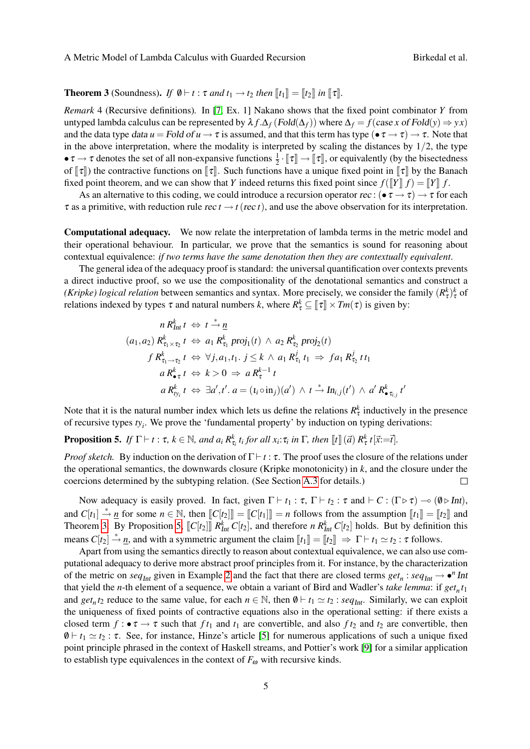### **Theorem 3** (Soundness). *If*  $\emptyset \vdash t : \tau$  *and*  $t_1 \rightarrow t_2$  *then*  $\lbrack \lbrack t_1 \rbrack = \lbrack \lbrack t_2 \rbrack$  *in*  $\lbrack \lbrack \tau \rbrack$ *.*

<span id="page-4-1"></span>*Remark* 4 (Recursive definitions)*.* In [\[7,](#page-5-0) Ex. 1] Nakano shows that the fixed point combinator *Y* from untyped lambda calculus can be represented by  $\lambda f \cdot \Delta_f (Fold(\Delta_f))$  where  $\Delta_f = f(\text{case } x \text{ of } Fold(y) \Rightarrow yx)$ and the data type data  $u =$  Fold of  $u \to \tau$  is assumed, and that this term has type ( $\bullet \tau \to \tau$ )  $\to \tau$ . Note that in the above interpretation, where the modality is interpreted by scaling the distances by  $1/2$ , the type  $\bullet \tau \to \tau$  denotes the set of all non-expansive functions  $\frac{1}{2} \cdot [\![\tau]\!] \to [\![\tau]\!]$ , or equivalently (by the bisectedness of  $[\![\tau]\!]$ ) the contractive functions on  $[\![\tau]\!]$ . Such functions have a unique fixed point in  $[\![$ of  $\llbracket \tau \rrbracket$ ) the contractive functions on  $\llbracket \tau \rrbracket$ . Such functions have a unique fixed point in  $\llbracket \tau \rrbracket$  by the Banach fixed point theorem, and we can show that *Y* indeed returns this fixed point since  $f(\llbracket Y \rrbracket f) = \llbracket Y \rrbracket f$ .

As an alternative to this coding, we could introduce a recursion operator rec : ( $\bullet \tau \to \tau$ )  $\to \tau$  for each  $\tau$  as a primitive, with reduction rule rec  $t \to t$  (rec *t*), and use the above observation for its interpretation.

Computational adequacy. We now relate the interpretation of lambda terms in the metric model and their operational behaviour. In particular, we prove that the semantics is sound for reasoning about contextual equivalence: *if two terms have the same denotation then they are contextually equivalent*.

The general idea of the adequacy proof is standard: the universal quantification over contexts prevents a direct inductive proof, so we use the compositionality of the denotational semantics and construct a *(Kripke) logical relation* between semantics and syntax. More precisely, we consider the family  $(R^k_\tau)^k_\tau$  of relations indexed by types  $\tau$  and natural numbers *k*, where  $R^k_{\tau} \subseteq [\![\tau]\!] \times Tm(\tau)$  is given by:

$$
n R_{Int}^k t \Leftrightarrow t \stackrel{*}{\rightarrow} \underline{n}
$$
  
(a<sub>1</sub>, a<sub>2</sub>)  $R_{\tau_1 \times \tau_2}^k t \Leftrightarrow a_1 R_{\tau_1}^k \text{proj}_1(t) \wedge a_2 R_{\tau_2}^k \text{proj}_2(t)$   

$$
f R_{\tau_1 \to \tau_2}^k t \Leftrightarrow \forall j, a_1, t_1. \ j \leq k \wedge a_1 R_{\tau_1}^j t_1 \Rightarrow f a_1 R_{\tau_2}^j t t_1
$$
  

$$
a R_{\bullet \tau}^k t \Leftrightarrow k > 0 \Rightarrow a R_{\tau}^{k-1} t
$$
  

$$
a R_{\tau_i}^k t \Leftrightarrow \exists a', t'. a = (i_i \circ in_j)(a') \wedge t \stackrel{*}{\rightarrow} In_{i,j}(t') \wedge a' R_{\bullet \tau_{i,j}}^k t'
$$

Note that it is the natural number index which lets us define the relations  $R^k_{\tau}$  inductively in the presence of recursive types *ty<sup>i</sup>* . We prove the 'fundamental property' by induction on typing derivations:

<span id="page-4-0"></span>**Proposition 5.** If  $\Gamma \vdash t : \tau, k \in \mathbb{N}$ , and  $a_i R_{\tau_i}^k t_i$  for all  $x_i : \tau_i$  in  $\Gamma$ , then  $[\![t]\!](\vec{a}) R_{\tau}^k t[\vec{x} := \vec{t}].$ 

*Proof sketch.* By induction on the derivation of  $\Gamma \vdash t : \tau$ . The proof uses the closure of the relations under the operational semantics, the downwards closure (Kripke monotonicity) in *k*, and the closure under the coercions determined by the subtyping relation. (See Section [A.3](#page-7-0) for details.)  $\Box$ 

Now adequacy is easily proved. In fact, given  $\Gamma \vdash t_1 : \tau$ ,  $\Gamma \vdash t_2 : \tau$  and  $\vdash C : (\Gamma \triangleright \tau) \multimap (\emptyset \triangleright \text{Int}),$ and  $C[t_1] \stackrel{*}{\rightarrow} \underline{n}$  for some  $n \in \mathbb{N}$ , then  $[[C[t_2]]] = [[C[t_1]]] = n$  follows from the assumption  $[[t_1]] = [[t_2]]$  and<br>Theorem 3. By Proposition 5.  $[[C[t_1]]] \stackrel{pk}{=} [C[t_1]]$  and therefore *n*  $B^k$ .  $C[t_1]$  holds. But by defin Theorem [3.](#page-3-1) By Proposition [5,](#page-4-0)  $\llbracket C[t_2] \rrbracket R_{Int}^k C[t_2]$ , and therefore *n*  $R_{Int}^k C[t_2]$  holds. But by definition this means  $C[t_2] \stackrel{*}{\rightarrow} \underline{n}$ , and with a symmetric argument the claim  $[\![t_1]\!] = [\![t_2]\!] \Rightarrow \Gamma \vdash t_1 \simeq t_2 : \tau$  follows.

Apart from using the semantics directly to reason about contextual equivalence, we can also use computational adequacy to derive more abstract proof principles from it. For instance, by the characterization of the metric on  $seq_{Int}$  given in Example [2](#page-3-2) and the fact that there are closed terms  $get_n : seq_{Int} \rightarrow \bullet^n Int$ that yield the *n*-th element of a sequence, we obtain a variant of Bird and Wadler's *take lemma*: if *get<sup>n</sup> t*1 and *get<sub>n</sub>* $t_2$  reduce to the same value, for each  $n \in \mathbb{N}$ , then  $\emptyset \vdash t_1 \simeq t_2$ : *seq<sub>Int</sub>*. Similarly, we can exploit the uniqueness of fixed points of contractive equations also in the operational setting: if there exists a closed term  $f : \bullet \tau \to \tau$  such that  $f t_1$  and  $t_1$  are convertible, and also  $f t_2$  and  $t_2$  are convertible, then  $\emptyset \vdash t_1 \simeq t_2 : \tau$ . See, for instance, Hinze's article [\[5\]](#page-5-4) for numerous applications of such a unique fixed point principle phrased in the context of Haskell streams, and Pottier's work [\[9\]](#page-5-3) for a similar application to establish type equivalences in the context of  $F_{\omega}$  with recursive kinds.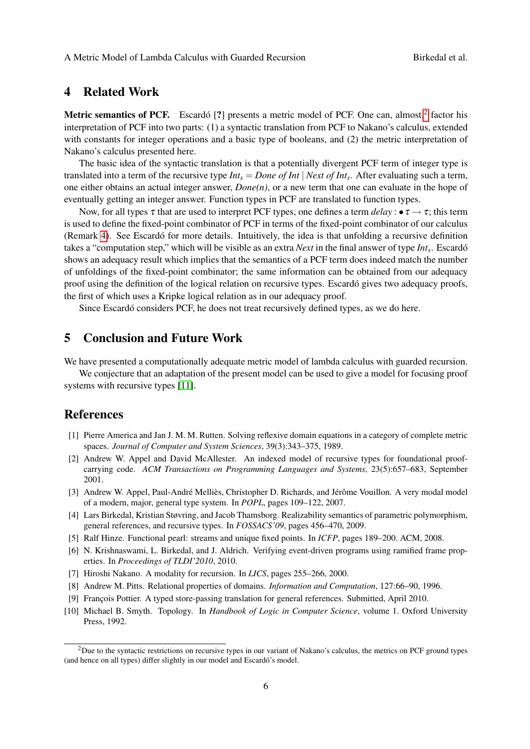# <span id="page-5-6"></span>4 Related Work

**Metric semantics of PCF.** Escardó [?] presents a metric model of PCF. One can, almost, $2$  factor his interpretation of PCF into two parts: (1) a syntactic translation from PCF to Nakano's calculus, extended with constants for integer operations and a basic type of booleans, and (2) the metric interpretation of Nakano's calculus presented here.

The basic idea of the syntactic translation is that a potentially divergent PCF term of integer type is translated into a term of the recursive type *Int<sup>s</sup>* = *Done of Int* | *Next of Int<sup>s</sup>* . After evaluating such a term, one either obtains an actual integer answer, *Done(n)*, or a new term that one can evaluate in the hope of eventually getting an integer answer. Function types in PCF are translated to function types.

Now, for all types  $\tau$  that are used to interpret PCF types, one defines a term *delay* :  $\bullet \tau \rightarrow \tau$ ; this term is used to define the fixed-point combinator of PCF in terms of the fixed-point combinator of our calculus (Remark [4\)](#page-4-1). See Escardo for more details. Intuitively, the idea is that unfolding a recursive definition ´ takes a "computation step," which will be visible as an extra *Next* in the final answer of type *Int<sub>s</sub>*. Escardó shows an adequacy result which implies that the semantics of a PCF term does indeed match the number of unfoldings of the fixed-point combinator; the same information can be obtained from our adequacy proof using the definition of the logical relation on recursive types. Escardo gives two adequacy proofs, ´ the first of which uses a Kripke logical relation as in our adequacy proof.

Since Escardo considers PCF, he does not treat recursively defined types, as we do here.

# 5 Conclusion and Future Work

We have presented a computationally adequate metric model of lambda calculus with guarded recursion.

We conjecture that an adaptation of the present model can be used to give a model for focusing proof systems with recursive types [\[11\]](#page-6-0).

### References

- <span id="page-5-9"></span>[1] Pierre America and Jan J. M. M. Rutten. Solving reflexive domain equations in a category of complete metric spaces. *Journal of Computer and System Sciences*, 39(3):343–375, 1989.
- <span id="page-5-1"></span>[2] Andrew W. Appel and David McAllester. An indexed model of recursive types for foundational proofcarrying code. *ACM Transactions on Programming Languages and Systems*, 23(5):657–683, September 2001.
- <span id="page-5-7"></span>[3] Andrew W. Appel, Paul-André Melliès, Christopher D. Richards, and Jérôme Vouillon. A very modal model of a modern, major, general type system. In *POPL*, pages 109–122, 2007.
- <span id="page-5-2"></span>[4] Lars Birkedal, Kristian Støvring, and Jacob Thamsborg. Realizability semantics of parametric polymorphism, general references, and recursive types. In *FOSSACS'09*, pages 456–470, 2009.
- <span id="page-5-4"></span>[5] Ralf Hinze. Functional pearl: streams and unique fixed points. In *ICFP*, pages 189–200. ACM, 2008.
- <span id="page-5-5"></span>[6] N. Krishnaswami, L. Birkedal, and J. Aldrich. Verifying event-driven programs using ramified frame properties. In *Proceedings of TLDI'2010*, 2010.
- <span id="page-5-0"></span>[7] Hiroshi Nakano. A modality for recursion. In *LICS*, pages 255–266, 2000.
- [8] Andrew M. Pitts. Relational properties of domains. *Information and Computation*, 127:66–90, 1996.
- <span id="page-5-3"></span>[9] François Pottier. A typed store-passing translation for general references. Submitted, April 2010.
- <span id="page-5-8"></span>[10] Michael B. Smyth. Topology. In *Handbook of Logic in Computer Science*, volume 1. Oxford University Press, 1992.

<sup>&</sup>lt;sup>2</sup>Due to the syntactic restrictions on recursive types in our variant of Nakano's calculus, the metrics on PCF ground types (and hence on all types) differ slightly in our model and Escardo's model. ´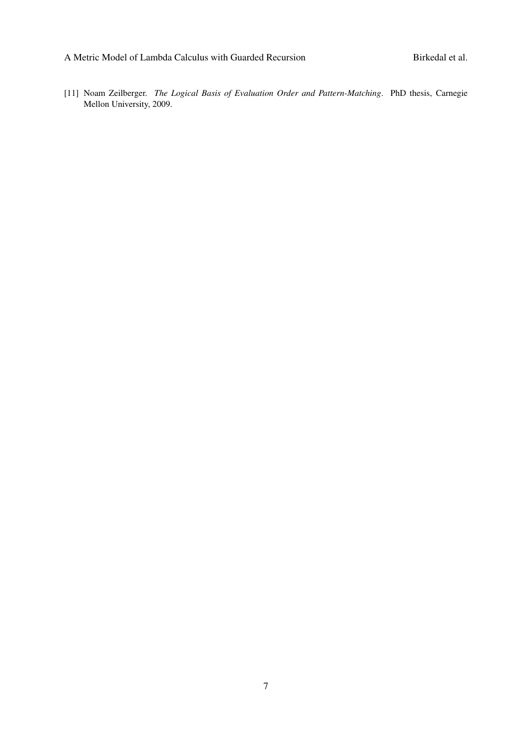<span id="page-6-0"></span>[11] Noam Zeilberger. *The Logical Basis of Evaluation Order and Pattern-Matching*. PhD thesis, Carnegie Mellon University, 2009.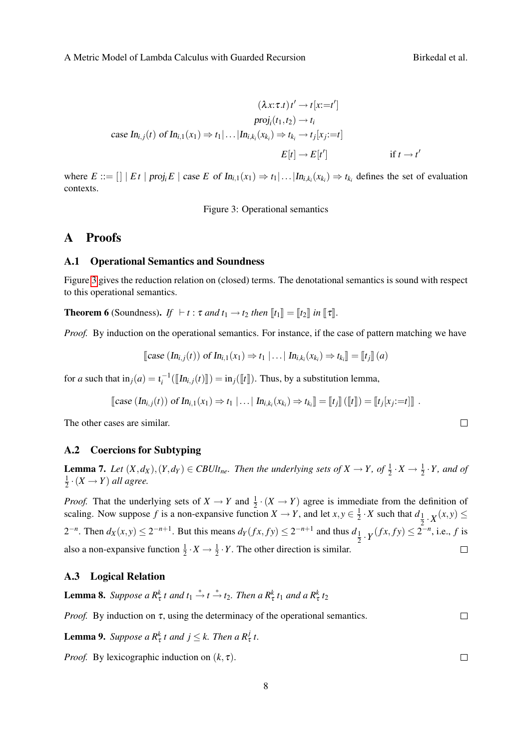$$
(\lambda x:\tau.t) t' \to t[x:=t']
$$
  
\nproj<sub>i</sub>(t<sub>1</sub>, t<sub>2</sub>)  $\to t_i$   
\ncase In<sub>i,j</sub>(t) of In<sub>i,1</sub>(x<sub>1</sub>)  $\Rightarrow$  t<sub>1</sub>|... $|In_{i,k_i}(x_{k_i}) \Rightarrow t_{k_i} \to t_j[x_j:=t]$   
\n
$$
E[t] \to E[t'] \qquad \text{if } t \to t'
$$

where  $E ::= [] | Et | proj_i E | case E of In_{i,1}(x_1) \Rightarrow t_1 | ... | In_{i,k_i}(x_{k_i}) \Rightarrow t_{k_i}$  defines the set of evaluation contexts.

<span id="page-7-1"></span>Figure 3: Operational semantics

### A Proofs

#### A.1 Operational Semantics and Soundness

Figure [3](#page-7-1) gives the reduction relation on (closed) terms. The denotational semantics is sound with respect to this operational semantics.

**Theorem 6** (Soundness). *If*  $\vdash t : \tau$  *and*  $t_1 \rightarrow t_2$  *then*  $\llbracket t_1 \rrbracket = \llbracket t_2 \rrbracket$  *in*  $\llbracket \tau \rrbracket$ .

*Proof.* By induction on the operational semantics. For instance, if the case of pattern matching we have

[case 
$$
(In_{i,j}(t))
$$
 of  $In_{i,1}(x_1) \Rightarrow t_1 | ... | In_{i,k_i}(x_{k_i}) \Rightarrow t_{k_i} \rbrack = [t_j] (a)$ 

for *a* such that  $\text{in}_j(a) = \text{\iota}_i^{-1}(\llbracket \text{In}_{i,j}(t) \rrbracket) = \text{in}_j(\llbracket t \rrbracket)$ . Thus, by a substitution lemma,

[case 
$$
(In_{i,j}(t))
$$
 of  $In_{i,1}(x_1) \Rightarrow t_1 | ... | In_{i,k_i}(x_{k_i}) \Rightarrow t_{k_i} = [t_j] ([t]) = [t_j | x_j := t]]$ .

The other cases are similar.

### A.2 Coercions for Subtyping

**Lemma 7.** Let  $(X, d_X), (Y, d_Y) \in CBUlt_{ne}$ . Then the underlying sets of  $X \to Y$ , of  $\frac{1}{2} \cdot X \to \frac{1}{2} \cdot Y$ , and of 1  $\frac{1}{2} \cdot (X \rightarrow Y)$  *all agree.* 

*Proof.* That the underlying sets of  $X \to Y$  and  $\frac{1}{2} \cdot (X \to Y)$  agree is immediate from the definition of scaling. Now suppose f is a non-expansive function  $X \to Y$ , and let  $x, y \in \frac{1}{2}$  $\frac{1}{2} \cdot X$  such that  $d_{\frac{1}{2} \cdot X}(x, y) \leq$ 2 2<sup>−*n*</sup>. Then  $d_X(x, y)$  ≤ 2<sup>−*n*+1</sup>. But this means  $d_Y(fx, fy)$  ≤ 2<sup>−*n*+1</sup> and thus  $d_1$  $\frac{1}{2} \cdot Y(fx, fy) \leq 2^{-n}$ , i.e., *f* is also a non-expansive function  $\frac{1}{2} \cdot X \to \frac{1}{2} \cdot Y$ . The other direction is similar.  $\Box$ 

### <span id="page-7-0"></span>A.3 Logical Relation

<span id="page-7-3"></span>**Lemma 8.** Suppose a  $R^k_\tau t$  and  $t_1 \stackrel{*}{\to} t \stackrel{*}{\to} t_2$ . Then a  $R^k_\tau t_1$  and a  $R^k_\tau t_2$ 

*Proof.* By induction on  $\tau$ , using the determinacy of the operational semantics.  $\Box$ 

<span id="page-7-2"></span>**Lemma 9.** *Suppose a*  $R^k_\tau$  *t* and  $j \leq k$ . *Then a*  $R^j_\tau$  *t*.

<span id="page-7-4"></span>*Proof.* By lexicographic induction on  $(k, \tau)$ .

 $\Box$